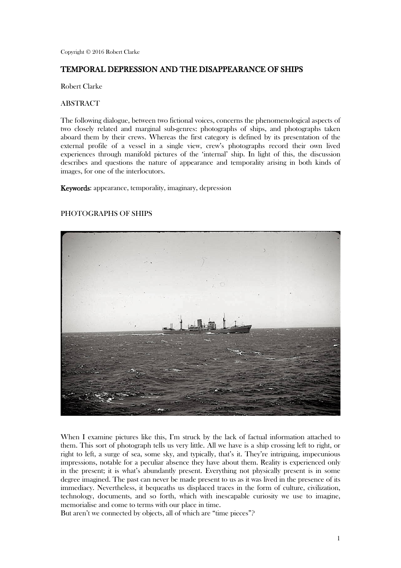Copyright © 2016 Robert Clarke

# TEMPORAL DEPRESSION AND THE DISAPPEARANCE OF SHIPS

Robert Clarke

#### ABSTRACT

The following dialogue, between two fictional voices, concerns the phenomenological aspects of two closely related and marginal sub-genres: photographs of ships, and photographs taken aboard them by their crews. Whereas the first category is defined by its presentation of the external profile of a vessel in a single view, crew's photographs record their own lived experiences through manifold pictures of the 'internal' ship. In light of this, the discussion describes and questions the nature of appearance and temporality arising in both kinds of images, for one of the interlocutors.

Keywords: appearance, temporality, imaginary, depression

## PHOTOGRAPHS OF SHIPS



When I examine pictures like this, I'm struck by the lack of factual information attached to them. This sort of photograph tells us very little. All we have is a ship crossing left to right, or right to left, a surge of sea, some sky, and typically, that's it. They're intriguing, impecunious impressions, notable for a peculiar absence they have about them. Reality is experienced only in the present; it is what's abundantly present. Everything not physically present is in some degree imagined. The past can never be made present to us as it was lived in the presence of its immediacy. Nevertheless, it bequeaths us displaced traces in the form of culture, civilization, technology, documents, and so forth, which with inescapable curiosity we use to imagine, memorialise and come to terms with our place in time.

But aren't we connected by objects, all of which are "time pieces"?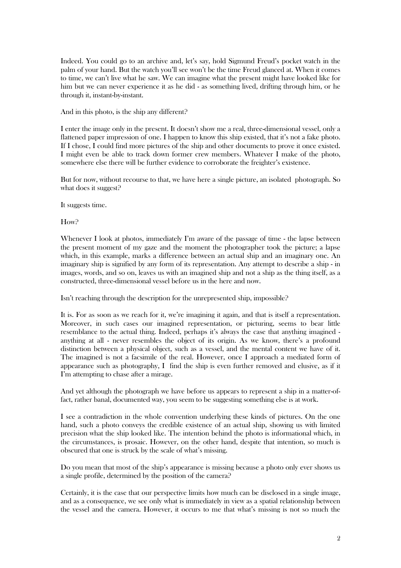Indeed. You could go to an archive and, let's say, hold Sigmund Freud's pocket watch in the palm of your hand. But the watch you'll see won't be the time Freud glanced at. When it comes to time, we can't live what he saw. We can imagine what the present might have looked like for him but we can never experience it as he did - as something lived, drifting through him, or he through it, instant-by-instant.

And in this photo, is the ship any different?

I enter the image only in the present. It doesn't show me a real, three-dimensional vessel, only a flattened paper impression of one. I happen to know this ship existed, that it's not a fake photo. If I chose, I could find more pictures of the ship and other documents to prove it once existed. I might even be able to track down former crew members. Whatever I make of the photo, somewhere else there will be further evidence to corroborate the freighter's existence.

But for now, without recourse to that, we have here a single picture, an isolated photograph. So what does it suggest?

It suggests time.

H<sub>ow</sub>?

Whenever I look at photos, immediately I'm aware of the passage of time - the lapse between the present moment of my gaze and the moment the photographer took the picture; a lapse which, in this example, marks a difference between an actual ship and an imaginary one. An imaginary ship is signified by any form of its representation. Any attempt to describe a ship - in images, words, and so on, leaves us with an imagined ship and not a ship as the thing itself, as a constructed, three-dimensional vessel before us in the here and now.

Isn't reaching through the description for the unrepresented ship, impossible?

It is. For as soon as we reach for it, we're imagining it again, and that is itself a representation. Moreover, in such cases our imagined representation, or picturing, seems to bear little resemblance to the actual thing. Indeed, perhaps it's always the case that anything imagined anything at all - never resembles the object of its origin. As we know, there's a profound distinction between a physical object, such as a vessel, and the mental content we have of it. The imagined is not a facsimile of the real. However, once I approach a mediated form of appearance such as photography, I find the ship is even further removed and elusive, as if it I'm attempting to chase after a mirage.

And yet although the photograph we have before us appears to represent a ship in a matter-offact, rather banal, documented way, you seem to be suggesting something else is at work.

I see a contradiction in the whole convention underlying these kinds of pictures. On the one hand, such a photo conveys the credible existence of an actual ship, showing us with limited precision what the ship looked like. The intention behind the photo is informational which, in the circumstances, is prosaic. However, on the other hand, despite that intention, so much is obscured that one is struck by the scale of what's missing.

Do you mean that most of the ship's appearance is missing because a photo only ever shows us a single profile, determined by the position of the camera?

Certainly, it is the case that our perspective limits how much can be disclosed in a single image, and as a consequence, we see only what is immediately in view as a spatial relationship between the vessel and the camera. However, it occurs to me that what's missing is not so much the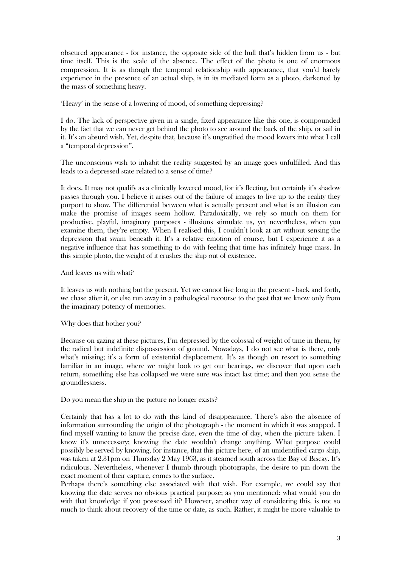obscured appearance - for instance, the opposite side of the hull that's hidden from us - but time itself. This is the scale of the absence. The effect of the photo is one of enormous compression. It is as though the temporal relationship with appearance, that you'd barely experience in the presence of an actual ship, is in its mediated form as a photo, darkened by the mass of something heavy.

'Heavy' in the sense of a lowering of mood, of something depressing?

I do. The lack of perspective given in a single, fixed appearance like this one, is compounded by the fact that we can never get behind the photo to see around the back of the ship, or sail in it. It's an absurd wish. Yet, despite that, because it's ungratified the mood lowers into what I call a "temporal depression".

The unconscious wish to inhabit the reality suggested by an image goes unfulfilled. And this leads to a depressed state related to a sense of time?

It does. It may not qualify as a clinically lowered mood, for it's fleeting, but certainly it's shadow passes through you. I believe it arises out of the failure of images to live up to the reality they purport to show. The differential between what is actually present and what is an illusion can make the promise of images seem hollow. Paradoxically, we rely so much on them for productive, playful, imaginary purposes - illusions stimulate us, yet nevertheless, when you examine them, they're empty. When I realised this, I couldn't look at art without sensing the depression that swam beneath it. It's a relative emotion of course, but I experience it as a negative influence that has something to do with feeling that time has infinitely huge mass. In this simple photo, the weight of it crushes the ship out of existence.

And leaves us with what?

It leaves us with nothing but the present. Yet we cannot live long in the present - back and forth, we chase after it, or else run away in a pathological recourse to the past that we know only from the imaginary potency of memories.

Why does that bother you?

Because on gazing at these pictures, I'm depressed by the colossal of weight of time in them, by the radical but indefinite dispossession of ground. Nowadays, I do not see what is there, only what's missing; it's a form of existential displacement. It's as though on resort to something familiar in an image, where we might look to get our bearings, we discover that upon each return, something else has collapsed we were sure was intact last time; and then you sense the groundlessness.

Do you mean the ship in the picture no longer exists?

Certainly that has a lot to do with this kind of disappearance. There's also the absence of information surrounding the origin of the photograph - the moment in which it was snapped. I find myself wanting to know the precise date, even the time of day, when the picture taken. I know it's unnecessary; knowing the date wouldn't change anything. What purpose could possibly be served by knowing, for instance, that this picture here, of an unidentified cargo ship, was taken at 2.31pm on Thursday 2 May 1963, as it steamed south across the Bay of Biscay. It's ridiculous. Nevertheless, whenever I thumb through photographs, the desire to pin down the exact moment of their capture, comes to the surface.

Perhaps there's something else associated with that wish. For example, we could say that knowing the date serves no obvious practical purpose; as you mentioned: what would you do with that knowledge if you possessed it? However, another way of considering this, is not so much to think about recovery of the time or date, as such. Rather, it might be more valuable to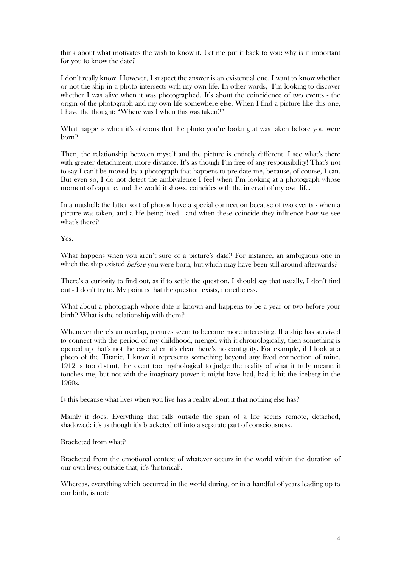think about what motivates the wish to know it. Let me put it back to you: why is it important for you to know the date?

I don't really know. However, I suspect the answer is an existential one. I want to know whether or not the ship in a photo intersects with my own life. In other words, I'm looking to discover whether I was alive when it was photographed. It's about the coincidence of two events - the origin of the photograph and my own life somewhere else. When I find a picture like this one, I have the thought: "Where was I when this was taken?"

What happens when it's obvious that the photo you're looking at was taken before you were born?

Then, the relationship between myself and the picture is entirely different. I see what's there with greater detachment, more distance. It's as though I'm free of any responsibility! That's not to say I can't be moved by a photograph that happens to pre-date me, because, of course, I can. But even so, I do not detect the ambivalence I feel when I'm looking at a photograph whose moment of capture, and the world it shows, coincides with the interval of my own life.

In a nutshell: the latter sort of photos have a special connection because of two events - when a picture was taken, and a life being lived - and when these coincide they influence how we see what's there?

Yes.

What happens when you aren't sure of a picture's date? For instance, an ambiguous one in which the ship existed *before* you were born, but which may have been still around afterwards?

There's a curiosity to find out, as if to settle the question. I should say that usually, I don't find out - I don't try to. My point is that the question exists, nonetheless.

What about a photograph whose date is known and happens to be a year or two before your birth? What is the relationship with them?

Whenever there's an overlap, pictures seem to become more interesting. If a ship has survived to connect with the period of my childhood, merged with it chronologically, then something is opened up that's not the case when it's clear there's no contiguity. For example, if I look at a photo of the Titanic, I know it represents something beyond any lived connection of mine. 1912 is too distant, the event too mythological to judge the reality of what it truly meant; it touches me, but not with the imaginary power it might have had, had it hit the iceberg in the 1960s.

Is this because what lives when you live has a reality about it that nothing else has?

Mainly it does. Everything that falls outside the span of a life seems remote, detached, shadowed; it's as though it's bracketed off into a separate part of consciousness.

Bracketed from what?

Bracketed from the emotional context of whatever occurs in the world within the duration of our own lives; outside that, it's 'historical'.

Whereas, everything which occurred in the world during, or in a handful of years leading up to our birth, is not?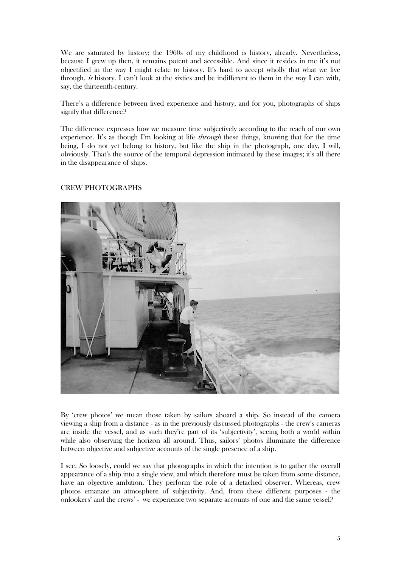We are saturated by history; the 1960s of my childhood is history, already. Nevertheless, because I grew up then, it remains potent and accessible. And since it resides in me it's not objectified in the way I might relate to history. It's hard to accept wholly that what we live through, is history. I can't look at the sixties and be indifferent to them in the way I can with, say, the thirteenth-century.

There's a difference between lived experience and history, and for you, photographs of ships signify that difference?

The difference expresses how we measure time subjectively according to the reach of our own experience. It's as though I'm looking at life *through* these things, knowing that for the time being, I do not yet belong to history, but like the ship in the photograph, one day, I will, obviously. That's the source of the temporal depression intimated by these images; it's all there in the disappearance of ships.

#### CREW PHOTOGRAPHS



By 'crew photos' we mean those taken by sailors aboard a ship. So instead of the camera viewing a ship from a distance - as in the previously discussed photographs - the crew's cameras are inside the vessel, and as such they're part of its 'subjectivity', seeing both a world within while also observing the horizon all around. Thus, sailors' photos illuminate the difference between objective and subjective accounts of the single presence of a ship.

I see. So loosely, could we say that photographs in which the intention is to gather the overall appearance of a ship into a single view, and which therefore must be taken from some distance, have an objective ambition. They perform the role of a detached observer. Whereas, crew photos emanate an atmosphere of subjectivity. And, from these different purposes - the onlookers' and the crews' - we experience two separate accounts of one and the same vessel?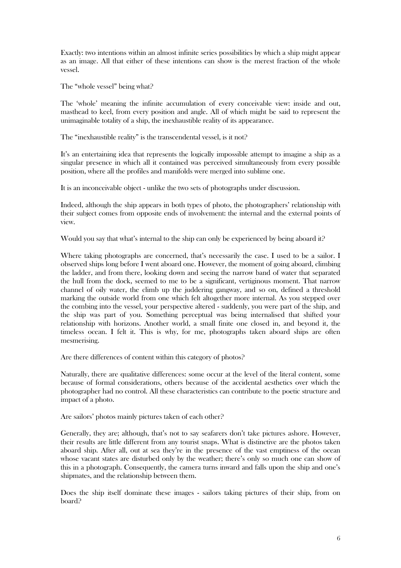Exactly: two intentions within an almost infinite series possibilities by which a ship might appear as an image. All that either of these intentions can show is the merest fraction of the whole vessel.

The "whole vessel" being what?

The 'whole' meaning the infinite accumulation of every conceivable view: inside and out, masthead to keel, from every position and angle. All of which might be said to represent the unimaginable totality of a ship, the inexhaustible reality of its appearance.

The "inexhaustible reality" is the transcendental vessel, is it not?

It's an entertaining idea that represents the logically impossible attempt to imagine a ship as a singular presence in which all it contained was perceived simultaneously from every possible position, where all the profiles and manifolds were merged into sublime one.

It is an inconceivable object - unlike the two sets of photographs under discussion.

Indeed, although the ship appears in both types of photo, the photographers' relationship with their subject comes from opposite ends of involvement: the internal and the external points of view.

Would you say that what's internal to the ship can only be experienced by being aboard it?

Where taking photographs are concerned, that's necessarily the case. I used to be a sailor. I observed ships long before I went aboard one. However, the moment of going aboard, climbing the ladder, and from there, looking down and seeing the narrow band of water that separated the hull from the dock, seemed to me to be a significant, vertiginous moment. That narrow channel of oily water, the climb up the juddering gangway, and so on, defined a threshold marking the outside world from one which felt altogether more internal. As you stepped over the combing into the vessel, your perspective altered - suddenly, you were part of the ship, and the ship was part of you. Something perceptual was being internalised that shifted your relationship with horizons. Another world, a small finite one closed in, and beyond it, the timeless ocean. I felt it. This is why, for me, photographs taken aboard ships are often mesmerising.

Are there differences of content within this category of photos?

Naturally, there are qualitative differences: some occur at the level of the literal content, some because of formal considerations, others because of the accidental aesthetics over which the photographer had no control. All these characteristics can contribute to the poetic structure and impact of a photo.

Are sailors' photos mainly pictures taken of each other?

Generally, they are; although, that's not to say seafarers don't take pictures ashore. However, their results are little different from any tourist snaps. What is distinctive are the photos taken aboard ship. After all, out at sea they're in the presence of the vast emptiness of the ocean whose vacant states are disturbed only by the weather; there's only so much one can show of this in a photograph. Consequently, the camera turns inward and falls upon the ship and one's shipmates, and the relationship between them.

Does the ship itself dominate these images - sailors taking pictures of their ship, from on board?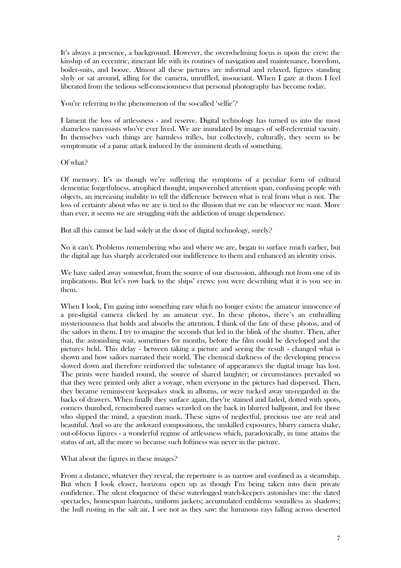It's always a presence, a background. However, the overwhelming focus is upon the crew: the kinship of an eccentric, itinerant life with its routines of navigation and maintenance, boredom, boiler-suits, and booze. Almost all these pictures are informal and relaxed, figures standing shyly or sat around, idling for the camera, unruffled, insouciant. When I gaze at them I feel liberated from the tedious self-consciousness that personal photography has become today.

You're referring to the phenomenon of the so-called 'selfie'?

I lament the loss of artlessness - and reserve. Digital technology has turned us into the most shameless narcissists who've ever lived. We are inundated by images of self-referential vacuity. In themselves such things are harmless trifles, but collectively, culturally, they seem to be symptomatic of a panic attack induced by the imminent death of something.

#### Of what?

Of memory. It's as though we're suffering the symptoms of a peculiar form of cultural dementia: forgetfulness, atrophied thought, impoverished attention span, confusing people with objects, an increasing inability to tell the difference between what is real from what is not. The loss of certainty about who we are is tied to the illusion that we can be whoever we want. More than ever, it seems we are struggling with the addiction of image dependence.

But all this cannot be laid solely at the door of digital technology, surely?

No it can't. Problems remembering who and where we are, began to surface much earlier, but the digital age has sharply accelerated our indifference to them and enhanced an identity crisis.

We have sailed away somewhat, from the source of our discussion, although not from one of its implications. But let's row back to the ships' crews: you were describing what it is you see in them.

When I look, I'm gazing into something rare which no longer exists: the amateur innocence of a pre-digital camera clicked by an amateur eye. In these photos, there's an enthralling mysteriousness that holds and absorbs the attention. I think of the fate of these photos, and of the sailors in them. I try to imagine the seconds that led to the blink of the shutter. Then, after that, the astonishing wait, sometimes for months, before the film could be developed and the pictures held. This delay - between taking a picture and seeing the result - changed what is shown and how sailors narrated their world. The chemical darkness of the developing process slowed down and therefore reinforced the substance of appearances the digital image has lost. The prints were handed round, the source of shared laughter; or circumstances prevailed so that they were printed only after a voyage, when everyone in the pictures had dispersed. Then, they became reminiscent keepsakes stuck in albums, or were tucked away un-regarded in the backs of drawers. When finally they surface again, they're stained and faded, dotted with spots, corners thumbed, remembered names scrawled on the back in blurred ballpoint, and for those who slipped the mind, a question mark. These signs of neglectful, precious use are real and beautiful. And so are the awkward compositions, the unskilled exposures, blurry camera shake, out-of-focus figures - a wonderful regime of artlessness which, paradoxically, in time attains the status of art, all the more so because such loftiness was never in the picture.

What about the figures in these images?

From a distance, whatever they reveal, the repertoire is as narrow and confined as a steamship. But when I look closer, horizons open up as though I'm being taken into their private confidence. The silent eloquence of these waterlogged watch-keepers astonishes me: the dated spectacles, homespun haircuts, uniform jackets; accumulated emblems soundless as shadows; the hull rusting in the salt air. I see not as they saw: the luminous rays falling across deserted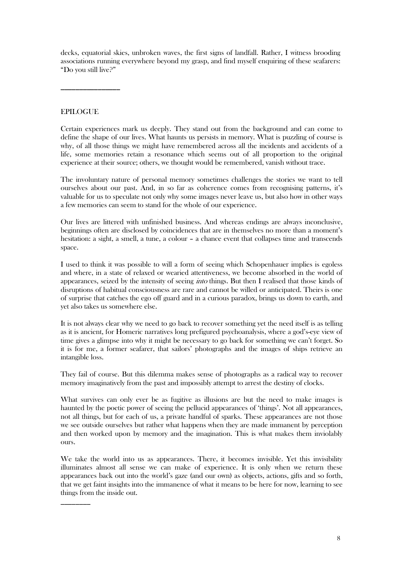decks, equatorial skies, unbroken waves, the first signs of landfall. Rather, I witness brooding associations running everywhere beyond my grasp, and find myself enquiring of these seafarers: "Do you still live?"

### EPILOGUE

\_\_\_\_\_\_\_\_

\_\_\_\_\_\_\_\_\_\_\_\_\_\_\_\_

Certain experiences mark us deeply. They stand out from the background and can come to define the shape of our lives. What haunts us persists in memory. What is puzzling of course is why, of all those things we might have remembered across all the incidents and accidents of a life, some memories retain a resonance which seems out of all proportion to the original experience at their source; others, we thought would be remembered, vanish without trace.

The involuntary nature of personal memory sometimes challenges the stories we want to tell ourselves about our past. And, in so far as coherence comes from recognising patterns, it's valuable for us to speculate not only why some images never leave us, but also how in other ways a few memories can seem to stand for the whole of our experience.

Our lives are littered with unfinished business. And whereas endings are always inconclusive, beginnings often are disclosed by coincidences that are in themselves no more than a moment's hesitation: a sight, a smell, a tune, a colour – a chance event that collapses time and transcends space.

I used to think it was possible to will a form of seeing which Schopenhauer implies is egoless and where, in a state of relaxed or wearied attentiveness, we become absorbed in the world of appearances, seized by the intensity of seeing into things. But then I realised that those kinds of disruptions of habitual consciousness are rare and cannot be willed or anticipated. Theirs is one of surprise that catches the ego off guard and in a curious paradox, brings us down to earth, and yet also takes us somewhere else.

It is not always clear why we need to go back to recover something yet the need itself is as telling as it is ancient, for Homeric narratives long prefigured psychoanalysis, where a god's-eye view of time gives a glimpse into why it might be necessary to go back for something we can't forget. So it is for me, a former seafarer, that sailors' photographs and the images of ships retrieve an intangible loss.

They fail of course. But this dilemma makes sense of photographs as a radical way to recover memory imaginatively from the past and impossibly attempt to arrest the destiny of clocks.

What survives can only ever be as fugitive as illusions are but the need to make images is haunted by the poetic power of seeing the pellucid appearances of 'things'. Not all appearances, not all things, but for each of us, a private handful of sparks. These appearances are not those we see outside ourselves but rather what happens when they are made immanent by perception and then worked upon by memory and the imagination. This is what makes them inviolably ours.

We take the world into us as appearances. There, it becomes invisible. Yet this invisibility illuminates almost all sense we can make of experience. It is only when we return these appearances back out into the world's gaze (and our own) as objects, actions, gifts and so forth, that we get faint insights into the immanence of what it means to be here for now, learning to see things from the inside out.